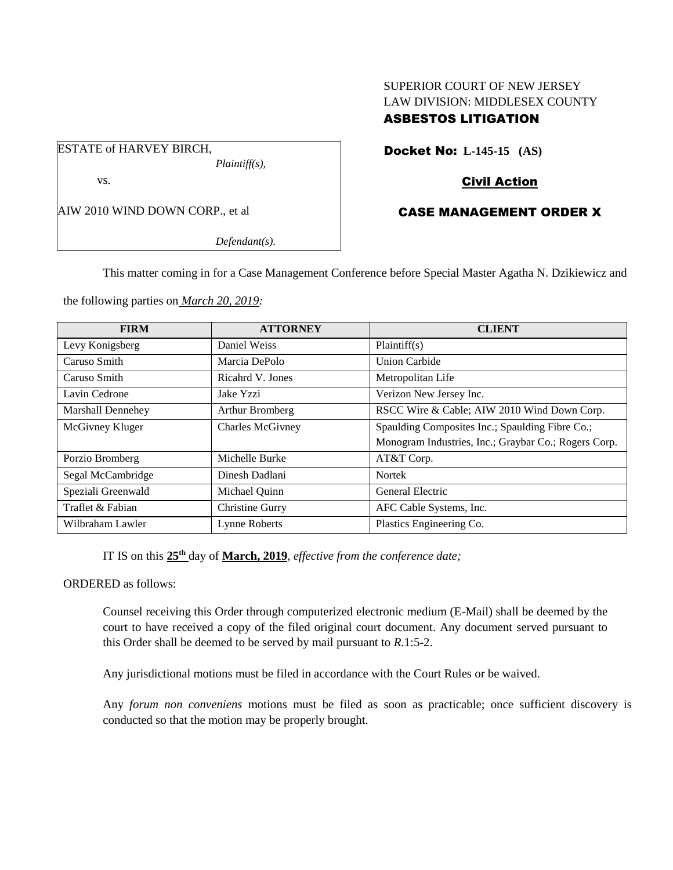# SUPERIOR COURT OF NEW JERSEY LAW DIVISION: MIDDLESEX COUNTY ASBESTOS LITIGATION

ESTATE of HARVEY BIRCH, *Plaintiff(s),* vs.

AIW 2010 WIND DOWN CORP., et al

*Defendant(s).*

Docket No: **L-145-15 (AS)** 

# Civil Action

# CASE MANAGEMENT ORDER X

This matter coming in for a Case Management Conference before Special Master Agatha N. Dzikiewicz and

the following parties on *March 20, 2019:*

| <b>FIRM</b>        | <b>ATTORNEY</b>  | <b>CLIENT</b>                                        |
|--------------------|------------------|------------------------------------------------------|
| Levy Konigsberg    | Daniel Weiss     | Plaintiff(s)                                         |
| Caruso Smith       | Marcia DePolo    | <b>Union Carbide</b>                                 |
| Caruso Smith       | Ricahrd V. Jones | Metropolitan Life                                    |
| Lavin Cedrone      | Jake Yzzi        | Verizon New Jersey Inc.                              |
| Marshall Dennehey  | Arthur Bromberg  | RSCC Wire & Cable; AIW 2010 Wind Down Corp.          |
| McGivney Kluger    | Charles McGivney | Spaulding Composites Inc.; Spaulding Fibre Co.;      |
|                    |                  | Monogram Industries, Inc.; Graybar Co.; Rogers Corp. |
| Porzio Bromberg    | Michelle Burke   | AT&T Corp.                                           |
| Segal McCambridge  | Dinesh Dadlani   | <b>Nortek</b>                                        |
| Speziali Greenwald | Michael Quinn    | General Electric                                     |
| Traflet & Fabian   | Christine Gurry  | AFC Cable Systems, Inc.                              |
| Wilbraham Lawler   | Lynne Roberts    | Plastics Engineering Co.                             |

IT IS on this  $25<sup>th</sup>$  day of **March, 2019**, *effective from the conference date*;

ORDERED as follows:

Counsel receiving this Order through computerized electronic medium (E-Mail) shall be deemed by the court to have received a copy of the filed original court document. Any document served pursuant to this Order shall be deemed to be served by mail pursuant to *R*.1:5-2.

Any jurisdictional motions must be filed in accordance with the Court Rules or be waived.

Any *forum non conveniens* motions must be filed as soon as practicable; once sufficient discovery is conducted so that the motion may be properly brought.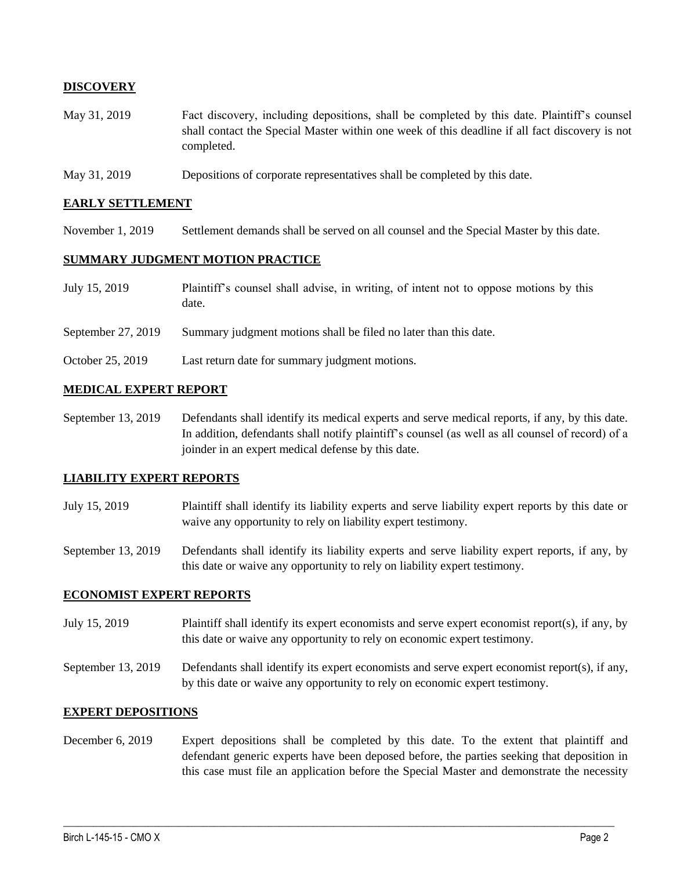## **DISCOVERY**

- May 31, 2019 Fact discovery, including depositions, shall be completed by this date. Plaintiff's counsel shall contact the Special Master within one week of this deadline if all fact discovery is not completed.
- May 31, 2019 Depositions of corporate representatives shall be completed by this date.

#### **EARLY SETTLEMENT**

November 1, 2019 Settlement demands shall be served on all counsel and the Special Master by this date.

## **SUMMARY JUDGMENT MOTION PRACTICE**

- July 15, 2019 Plaintiff's counsel shall advise, in writing, of intent not to oppose motions by this date.
- September 27, 2019 Summary judgment motions shall be filed no later than this date.
- October 25, 2019 Last return date for summary judgment motions.

## **MEDICAL EXPERT REPORT**

September 13, 2019 Defendants shall identify its medical experts and serve medical reports, if any, by this date. In addition, defendants shall notify plaintiff's counsel (as well as all counsel of record) of a joinder in an expert medical defense by this date.

#### **LIABILITY EXPERT REPORTS**

July 15, 2019 Plaintiff shall identify its liability experts and serve liability expert reports by this date or waive any opportunity to rely on liability expert testimony.

September 13, 2019 Defendants shall identify its liability experts and serve liability expert reports, if any, by this date or waive any opportunity to rely on liability expert testimony.

#### **ECONOMIST EXPERT REPORTS**

- July 15, 2019 Plaintiff shall identify its expert economists and serve expert economist report(s), if any, by this date or waive any opportunity to rely on economic expert testimony.
- September 13, 2019 Defendants shall identify its expert economists and serve expert economist report(s), if any, by this date or waive any opportunity to rely on economic expert testimony.

### **EXPERT DEPOSITIONS**

December 6, 2019 Expert depositions shall be completed by this date. To the extent that plaintiff and defendant generic experts have been deposed before, the parties seeking that deposition in this case must file an application before the Special Master and demonstrate the necessity

 $\_$  ,  $\_$  ,  $\_$  ,  $\_$  ,  $\_$  ,  $\_$  ,  $\_$  ,  $\_$  ,  $\_$  ,  $\_$  ,  $\_$  ,  $\_$  ,  $\_$  ,  $\_$  ,  $\_$  ,  $\_$  ,  $\_$  ,  $\_$  ,  $\_$  ,  $\_$  ,  $\_$  ,  $\_$  ,  $\_$  ,  $\_$  ,  $\_$  ,  $\_$  ,  $\_$  ,  $\_$  ,  $\_$  ,  $\_$  ,  $\_$  ,  $\_$  ,  $\_$  ,  $\_$  ,  $\_$  ,  $\_$  ,  $\_$  ,